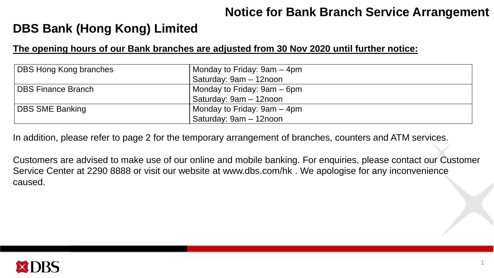### **Notice for Bank Branch Service Arrangement**

## **DBS Bank (Hong Kong) Limited**

#### **The opening hours of our Bank branches are adjusted from 30 Nov 2020 until further notice:**

| <b>DBS Hong Kong branches</b> | Monday to Friday: 9am – 4pm |
|-------------------------------|-----------------------------|
|                               | Saturday: 9am - 12noon      |
| <b>DBS Finance Branch</b>     | Monday to Friday: 9am – 6pm |
|                               | Saturday: 9am - 12noon      |
| <b>DBS SME Banking</b>        | Monday to Friday: 9am – 4pm |
|                               | Saturday: 9am - 12noon      |

In addition, please refer to page 2 for the temporary arrangement of branches, counters and ATM services.

Customers are advised to make use of our online and mobile banking. For enquiries, please contact our Customer Service Center at 2290 8888 or visit our website at www.dbs.com/hk . We apologise for any inconvenience caused.